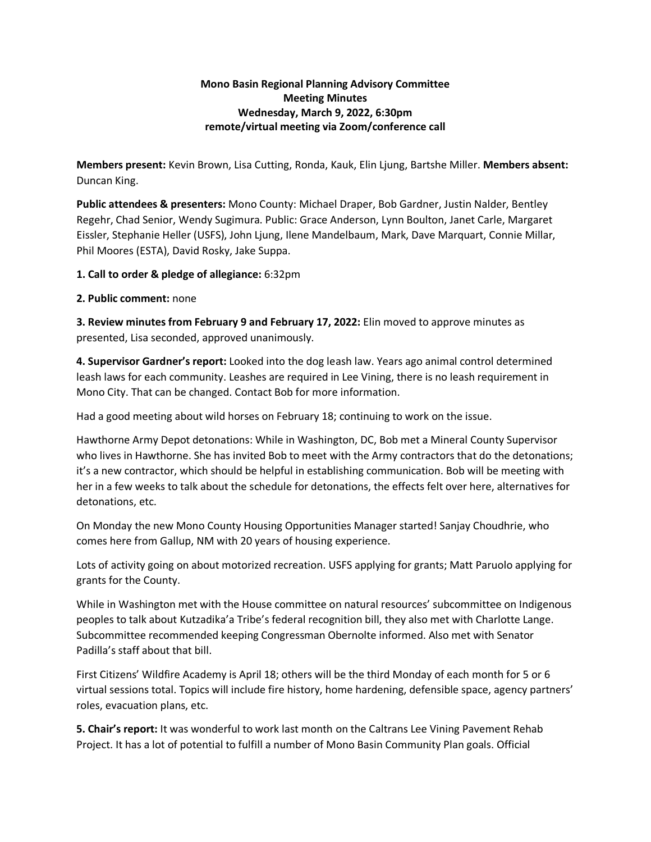## **Mono Basin Regional Planning Advisory Committee Meeting Minutes Wednesday, March 9, 2022, 6:30pm remote/virtual meeting via Zoom/conference call**

**Members present:** Kevin Brown, Lisa Cutting, Ronda, Kauk, Elin Ljung, Bartshe Miller. **Members absent:** Duncan King.

**Public attendees & presenters:** Mono County: Michael Draper, Bob Gardner, Justin Nalder, Bentley Regehr, Chad Senior, Wendy Sugimura. Public: Grace Anderson, Lynn Boulton, Janet Carle, Margaret Eissler, Stephanie Heller (USFS), John Ljung, Ilene Mandelbaum, Mark, Dave Marquart, Connie Millar, Phil Moores (ESTA), David Rosky, Jake Suppa.

**1. Call to order & pledge of allegiance:** 6:32pm

## **2. Public comment:** none

**3. Review minutes from February 9 and February 17, 2022:** Elin moved to approve minutes as presented, Lisa seconded, approved unanimously.

**4. Supervisor Gardner's report:** Looked into the dog leash law. Years ago animal control determined leash laws for each community. Leashes are required in Lee Vining, there is no leash requirement in Mono City. That can be changed. Contact Bob for more information.

Had a good meeting about wild horses on February 18; continuing to work on the issue.

Hawthorne Army Depot detonations: While in Washington, DC, Bob met a Mineral County Supervisor who lives in Hawthorne. She has invited Bob to meet with the Army contractors that do the detonations; it's a new contractor, which should be helpful in establishing communication. Bob will be meeting with her in a few weeks to talk about the schedule for detonations, the effects felt over here, alternatives for detonations, etc.

On Monday the new Mono County Housing Opportunities Manager started! Sanjay Choudhrie, who comes here from Gallup, NM with 20 years of housing experience.

Lots of activity going on about motorized recreation. USFS applying for grants; Matt Paruolo applying for grants for the County.

While in Washington met with the House committee on natural resources' subcommittee on Indigenous peoples to talk about Kutzadika'a Tribe's federal recognition bill, they also met with Charlotte Lange. Subcommittee recommended keeping Congressman Obernolte informed. Also met with Senator Padilla's staff about that bill.

First Citizens' Wildfire Academy is April 18; others will be the third Monday of each month for 5 or 6 virtual sessions total. Topics will include fire history, home hardening, defensible space, agency partners' roles, evacuation plans, etc.

**5. Chair's report:** It was wonderful to work last month on the Caltrans Lee Vining Pavement Rehab Project. It has a lot of potential to fulfill a number of Mono Basin Community Plan goals. Official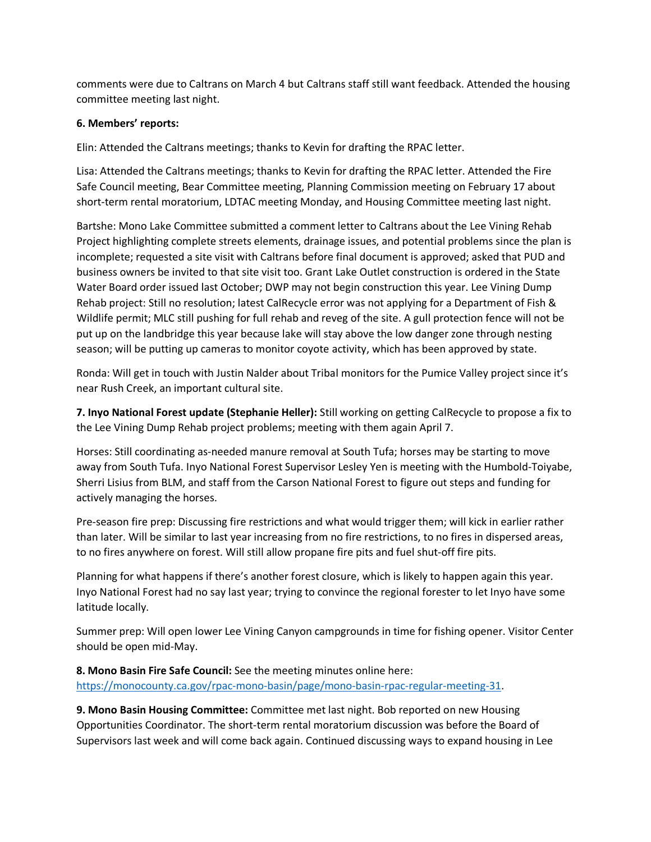comments were due to Caltrans on March 4 but Caltrans staff still want feedback. Attended the housing committee meeting last night.

## **6. Members' reports:**

Elin: Attended the Caltrans meetings; thanks to Kevin for drafting the RPAC letter.

Lisa: Attended the Caltrans meetings; thanks to Kevin for drafting the RPAC letter. Attended the Fire Safe Council meeting, Bear Committee meeting, Planning Commission meeting on February 17 about short-term rental moratorium, LDTAC meeting Monday, and Housing Committee meeting last night.

Bartshe: Mono Lake Committee submitted a comment letter to Caltrans about the Lee Vining Rehab Project highlighting complete streets elements, drainage issues, and potential problems since the plan is incomplete; requested a site visit with Caltrans before final document is approved; asked that PUD and business owners be invited to that site visit too. Grant Lake Outlet construction is ordered in the State Water Board order issued last October; DWP may not begin construction this year. Lee Vining Dump Rehab project: Still no resolution; latest CalRecycle error was not applying for a Department of Fish & Wildlife permit; MLC still pushing for full rehab and reveg of the site. A gull protection fence will not be put up on the landbridge this year because lake will stay above the low danger zone through nesting season; will be putting up cameras to monitor coyote activity, which has been approved by state.

Ronda: Will get in touch with Justin Nalder about Tribal monitors for the Pumice Valley project since it's near Rush Creek, an important cultural site.

**7. Inyo National Forest update (Stephanie Heller):** Still working on getting CalRecycle to propose a fix to the Lee Vining Dump Rehab project problems; meeting with them again April 7.

Horses: Still coordinating as-needed manure removal at South Tufa; horses may be starting to move away from South Tufa. Inyo National Forest Supervisor Lesley Yen is meeting with the Humbold-Toiyabe, Sherri Lisius from BLM, and staff from the Carson National Forest to figure out steps and funding for actively managing the horses.

Pre-season fire prep: Discussing fire restrictions and what would trigger them; will kick in earlier rather than later. Will be similar to last year increasing from no fire restrictions, to no fires in dispersed areas, to no fires anywhere on forest. Will still allow propane fire pits and fuel shut-off fire pits.

Planning for what happens if there's another forest closure, which is likely to happen again this year. Inyo National Forest had no say last year; trying to convince the regional forester to let Inyo have some latitude locally.

Summer prep: Will open lower Lee Vining Canyon campgrounds in time for fishing opener. Visitor Center should be open mid-May.

**8. Mono Basin Fire Safe Council:** See the meeting minutes online here: [https://monocounty.ca.gov/rpac-mono-basin/page/mono-basin-rpac-regular-meeting-31.](https://monocounty.ca.gov/rpac-mono-basin/page/mono-basin-rpac-regular-meeting-31)

**9. Mono Basin Housing Committee:** Committee met last night. Bob reported on new Housing Opportunities Coordinator. The short-term rental moratorium discussion was before the Board of Supervisors last week and will come back again. Continued discussing ways to expand housing in Lee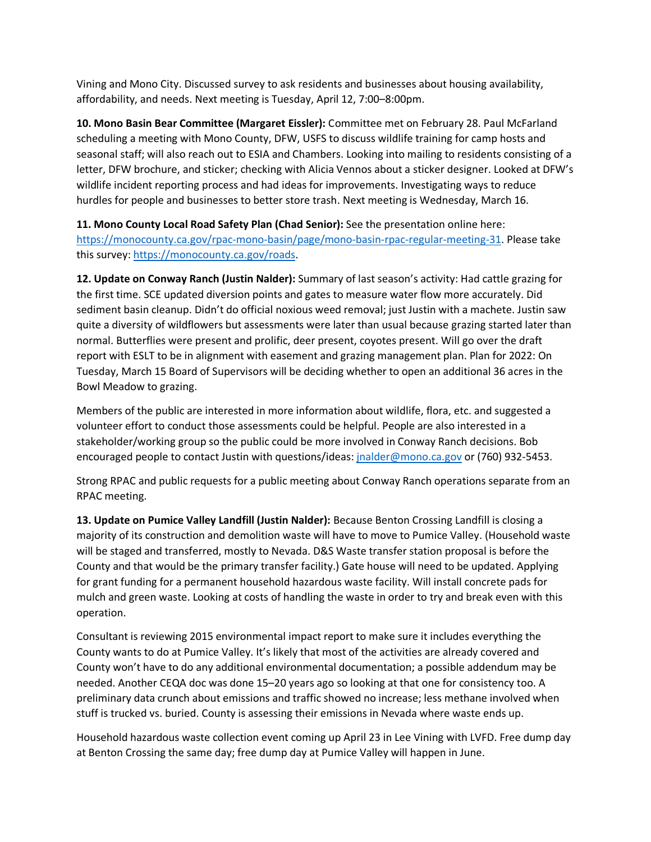Vining and Mono City. Discussed survey to ask residents and businesses about housing availability, affordability, and needs. Next meeting is Tuesday, April 12, 7:00–8:00pm.

**10. Mono Basin Bear Committee (Margaret Eissler):** Committee met on February 28. Paul McFarland scheduling a meeting with Mono County, DFW, USFS to discuss wildlife training for camp hosts and seasonal staff; will also reach out to ESIA and Chambers. Looking into mailing to residents consisting of a letter, DFW brochure, and sticker; checking with Alicia Vennos about a sticker designer. Looked at DFW's wildlife incident reporting process and had ideas for improvements. Investigating ways to reduce hurdles for people and businesses to better store trash. Next meeting is Wednesday, March 16.

**11. Mono County Local Road Safety Plan (Chad Senior):** See the presentation online here: [https://monocounty.ca.gov/rpac-mono-basin/page/mono-basin-rpac-regular-meeting-31.](https://monocounty.ca.gov/rpac-mono-basin/page/mono-basin-rpac-regular-meeting-31) Please take this survey[: https://monocounty.ca.gov/roads.](https://monocounty.ca.gov/roads)

**12. Update on Conway Ranch (Justin Nalder):** Summary of last season's activity: Had cattle grazing for the first time. SCE updated diversion points and gates to measure water flow more accurately. Did sediment basin cleanup. Didn't do official noxious weed removal; just Justin with a machete. Justin saw quite a diversity of wildflowers but assessments were later than usual because grazing started later than normal. Butterflies were present and prolific, deer present, coyotes present. Will go over the draft report with ESLT to be in alignment with easement and grazing management plan. Plan for 2022: On Tuesday, March 15 Board of Supervisors will be deciding whether to open an additional 36 acres in the Bowl Meadow to grazing.

Members of the public are interested in more information about wildlife, flora, etc. and suggested a volunteer effort to conduct those assessments could be helpful. People are also interested in a stakeholder/working group so the public could be more involved in Conway Ranch decisions. Bob encouraged people to contact Justin with questions/ideas[: jnalder@mono.ca.gov](mailto:jnalder@mono.ca.gov) or (760) 932-5453.

Strong RPAC and public requests for a public meeting about Conway Ranch operations separate from an RPAC meeting.

**13. Update on Pumice Valley Landfill (Justin Nalder):** Because Benton Crossing Landfill is closing a majority of its construction and demolition waste will have to move to Pumice Valley. (Household waste will be staged and transferred, mostly to Nevada. D&S Waste transfer station proposal is before the County and that would be the primary transfer facility.) Gate house will need to be updated. Applying for grant funding for a permanent household hazardous waste facility. Will install concrete pads for mulch and green waste. Looking at costs of handling the waste in order to try and break even with this operation.

Consultant is reviewing 2015 environmental impact report to make sure it includes everything the County wants to do at Pumice Valley. It's likely that most of the activities are already covered and County won't have to do any additional environmental documentation; a possible addendum may be needed. Another CEQA doc was done 15–20 years ago so looking at that one for consistency too. A preliminary data crunch about emissions and traffic showed no increase; less methane involved when stuff is trucked vs. buried. County is assessing their emissions in Nevada where waste ends up.

Household hazardous waste collection event coming up April 23 in Lee Vining with LVFD. Free dump day at Benton Crossing the same day; free dump day at Pumice Valley will happen in June.